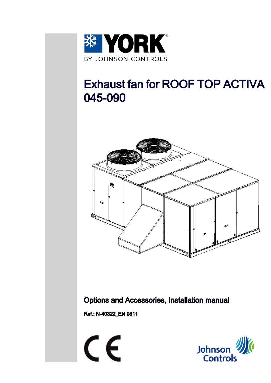

# Exhaust fan for ROOF TOP ACTIVA 045-090



### Options and Accessories, Installation manual

Ref.: N-40322\_EN 0811

 $\epsilon$ 

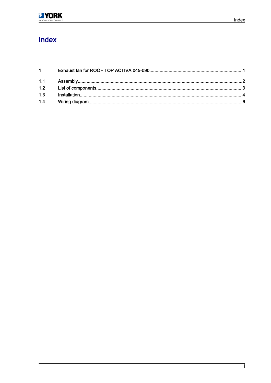## Index

| $1 \quad \blacksquare$ |  |
|------------------------|--|
|                        |  |
|                        |  |
|                        |  |
|                        |  |
|                        |  |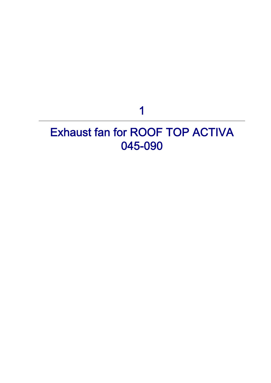1

## <span id="page-2-0"></span>Exhaust fan for ROOF TOP ACTIVA 045-090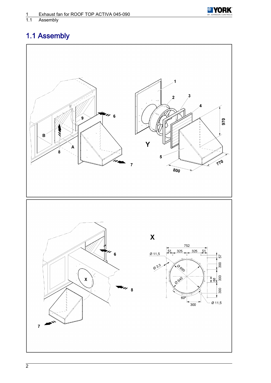

<span id="page-3-0"></span>1.1 Assembly

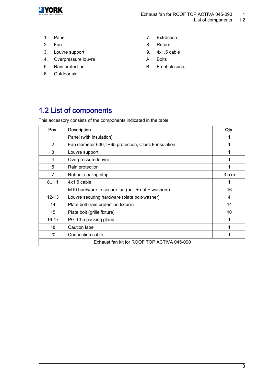<span id="page-4-0"></span>

List of components

- 
- 
- 3. Louvre support 9. 4x1.5 cable
- 4. Overpressure louvre **A.** Bolts
- 5. Rain protection **B.** Front closures
- 6. Outdoor air
- 1. Panel 2012 1. Extraction
- 2. Fan 1988 1989 1989 1989 1989 1989 1989 1989 1989 1989 1989 1989 1989 19
	-
	-
	-

## 1.2 List of components

This accessory consists of the components indicated in the table.

| Pos.                                        | <b>Description</b>                                    | Qty.             |  |  |
|---------------------------------------------|-------------------------------------------------------|------------------|--|--|
| 1                                           | Panel (with insulation)                               |                  |  |  |
| $\overline{2}$                              | Fan diameter 630, IP65 protection, Class F insulation |                  |  |  |
| 3                                           | Louvre support                                        |                  |  |  |
| 4                                           | Overpressure louvre                                   |                  |  |  |
| 5                                           | Rain protection                                       |                  |  |  |
| 7                                           | Rubber sealing strip                                  | 3.5 <sub>m</sub> |  |  |
| 811                                         | $4x1.5$ cable                                         |                  |  |  |
|                                             | M10 hardware to secure fan (bolt $+$ nut $+$ washers) | 16               |  |  |
| $12 - 13$                                   | Louvre securing hardware (plate bolt-washer)          | 4                |  |  |
| 14                                          | Plate bolt (rain protection fixture)                  | 14               |  |  |
| 15                                          | Plate bolt (grille fixture)                           | 10               |  |  |
| $16 - 17$                                   | PG-13.5 packing gland                                 |                  |  |  |
| 18                                          | Caution label                                         |                  |  |  |
| 20                                          | Connection cable                                      |                  |  |  |
| Exhaust fan kit for ROOF TOP ACTIVA 045-090 |                                                       |                  |  |  |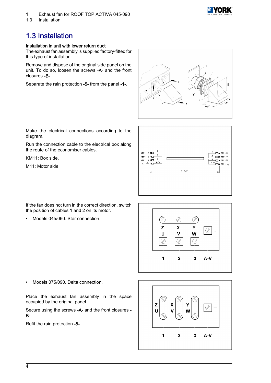

<span id="page-5-0"></span>1.3 Installation

## 1.3 Installation

#### Installation in unit with lower return duct

The exhaust fan assembly is supplied factory-fitted for this type of installation.

Remove and dispose of the original side panel on the unit. To do so, loosen the screws -A- and the front closures -B-.

Separate the rain protection -5- from the panel -1-.



Make the electrical connections according to the diagram.

Run the connection cable to the electrical box along the route of the economiser cables.

KM11: Box side.

M11: Motor side.



If the fan does not turn in the correct direction, switch the position of cables 1 and 2 on its motor.

• Models 045/060. Star connection.



• Models 075/090. Delta connection.

Place the exhaust fan assembly in the space occupied by the original panel.

Secure using the screws -A- and the front closures - B-.

Refit the rain protection -5-.

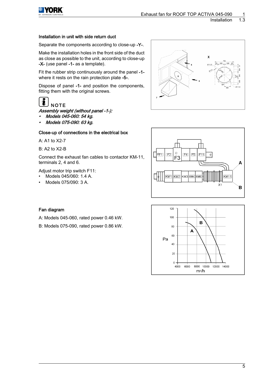

#### Installation in unit with side return duct

Separate the components according to close-up -Y-.

Make the installation holes in the front side of the duct as close as possible to the unit, according to close-up -X- (use panel -1- as a template).

Fit the rubber strip continuously around the panel -1 where it rests on the rain protection plate -5-.

Dispose of panel -1- and position the components, fitting them with the original screws.

## **NOTE**

Assembly weight (without panel -1-):

- •Models 045-060: 54 kg.
- Models 075-090: 63 kg.

#### Close-up of connections in the electrical box

A: A1 to X2-7

B: A2 to X2-B

Connect the exhaust fan cables to contactor KM-11, terminals 2, 4 and 6.

Adjust motor trip switch F11:

- Models 045/060: 1.4 A.
- Models 075/090: 3 A.





#### Fan diagram

A: Models 045-060, rated power 0.46 kW.

B: Models 075-090, rated power 0.86 kW.

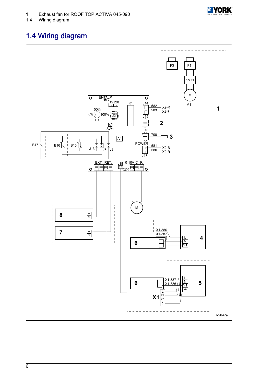

### <span id="page-7-0"></span>Wiring diagram

## 1.4 Wiring diagram